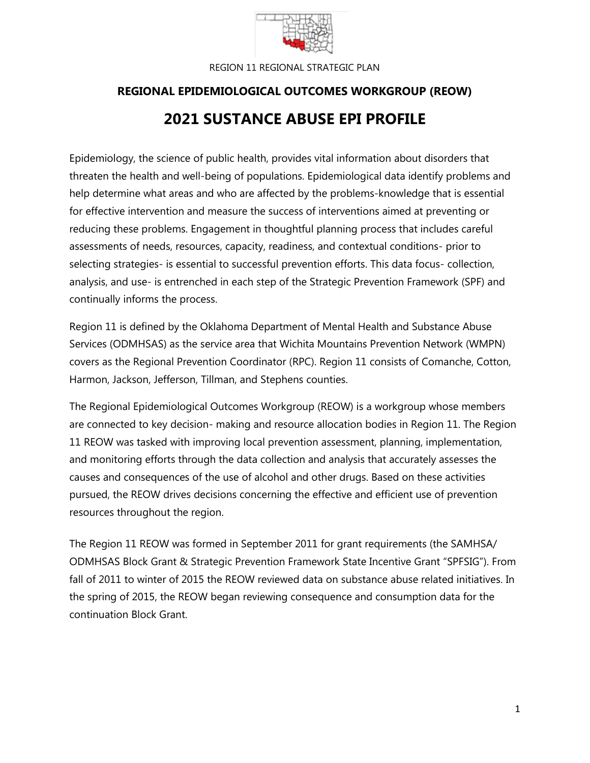

# **REGIONAL EPIDEMIOLOGICAL OUTCOMES WORKGROUP (REOW) 2021 SUSTANCE ABUSE EPI PROFILE**

Epidemiology, the science of public health, provides vital information about disorders that threaten the health and well-being of populations. Epidemiological data identify problems and help determine what areas and who are affected by the problems-knowledge that is essential for effective intervention and measure the success of interventions aimed at preventing or reducing these problems. Engagement in thoughtful planning process that includes careful assessments of needs, resources, capacity, readiness, and contextual conditions- prior to selecting strategies- is essential to successful prevention efforts. This data focus- collection, analysis, and use- is entrenched in each step of the Strategic Prevention Framework (SPF) and continually informs the process.

Region 11 is defined by the Oklahoma Department of Mental Health and Substance Abuse Services (ODMHSAS) as the service area that Wichita Mountains Prevention Network (WMPN) covers as the Regional Prevention Coordinator (RPC). Region 11 consists of Comanche, Cotton, Harmon, Jackson, Jefferson, Tillman, and Stephens counties.

The Regional Epidemiological Outcomes Workgroup (REOW) is a workgroup whose members are connected to key decision- making and resource allocation bodies in Region 11. The Region 11 REOW was tasked with improving local prevention assessment, planning, implementation, and monitoring efforts through the data collection and analysis that accurately assesses the causes and consequences of the use of alcohol and other drugs. Based on these activities pursued, the REOW drives decisions concerning the effective and efficient use of prevention resources throughout the region.

The Region 11 REOW was formed in September 2011 for grant requirements (the SAMHSA/ ODMHSAS Block Grant & Strategic Prevention Framework State Incentive Grant "SPFSIG"). From fall of 2011 to winter of 2015 the REOW reviewed data on substance abuse related initiatives. In the spring of 2015, the REOW began reviewing consequence and consumption data for the continuation Block Grant.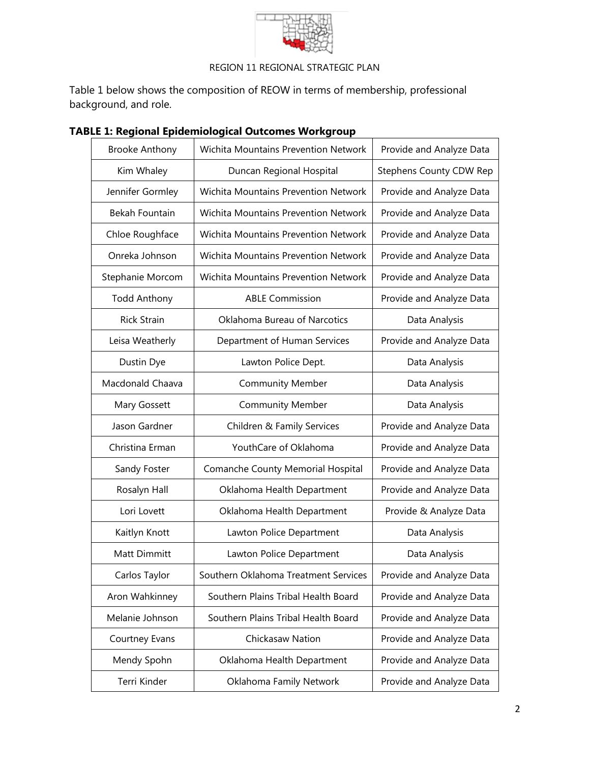

Table 1 below shows the composition of REOW in terms of membership, professional background, and role.

| <b>Brooke Anthony</b> | <b>Wichita Mountains Prevention Network</b> | Provide and Analyze Data       |
|-----------------------|---------------------------------------------|--------------------------------|
| Kim Whaley            | Duncan Regional Hospital                    | <b>Stephens County CDW Rep</b> |
| Jennifer Gormley      | <b>Wichita Mountains Prevention Network</b> | Provide and Analyze Data       |
| Bekah Fountain        | Wichita Mountains Prevention Network        | Provide and Analyze Data       |
| Chloe Roughface       | <b>Wichita Mountains Prevention Network</b> | Provide and Analyze Data       |
| Onreka Johnson        | Wichita Mountains Prevention Network        | Provide and Analyze Data       |
| Stephanie Morcom      | <b>Wichita Mountains Prevention Network</b> | Provide and Analyze Data       |
| <b>Todd Anthony</b>   | <b>ABLE Commission</b>                      | Provide and Analyze Data       |
| <b>Rick Strain</b>    | Oklahoma Bureau of Narcotics                | Data Analysis                  |
| Leisa Weatherly       | Department of Human Services                | Provide and Analyze Data       |
| Dustin Dye            | Lawton Police Dept.                         | Data Analysis                  |
| Macdonald Chaava      | <b>Community Member</b>                     | Data Analysis                  |
| Mary Gossett          | <b>Community Member</b>                     | Data Analysis                  |
| Jason Gardner         | Children & Family Services                  | Provide and Analyze Data       |
| Christina Erman       | YouthCare of Oklahoma                       | Provide and Analyze Data       |
| Sandy Foster          | Comanche County Memorial Hospital           | Provide and Analyze Data       |
| Rosalyn Hall          | Oklahoma Health Department                  | Provide and Analyze Data       |
| Lori Lovett           | Oklahoma Health Department                  | Provide & Analyze Data         |
| Kaitlyn Knott         | Lawton Police Department                    | Data Analysis                  |
| Matt Dimmitt          | Lawton Police Department                    | Data Analysis                  |
| Carlos Taylor         | Southern Oklahoma Treatment Services        | Provide and Analyze Data       |
| Aron Wahkinney        | Southern Plains Tribal Health Board         | Provide and Analyze Data       |
| Melanie Johnson       | Southern Plains Tribal Health Board         | Provide and Analyze Data       |
| Courtney Evans        | Chickasaw Nation                            | Provide and Analyze Data       |
| Mendy Spohn           | Oklahoma Health Department                  | Provide and Analyze Data       |
| Terri Kinder          | Oklahoma Family Network                     | Provide and Analyze Data       |

## **TABLE 1: Regional Epidemiological Outcomes Workgroup**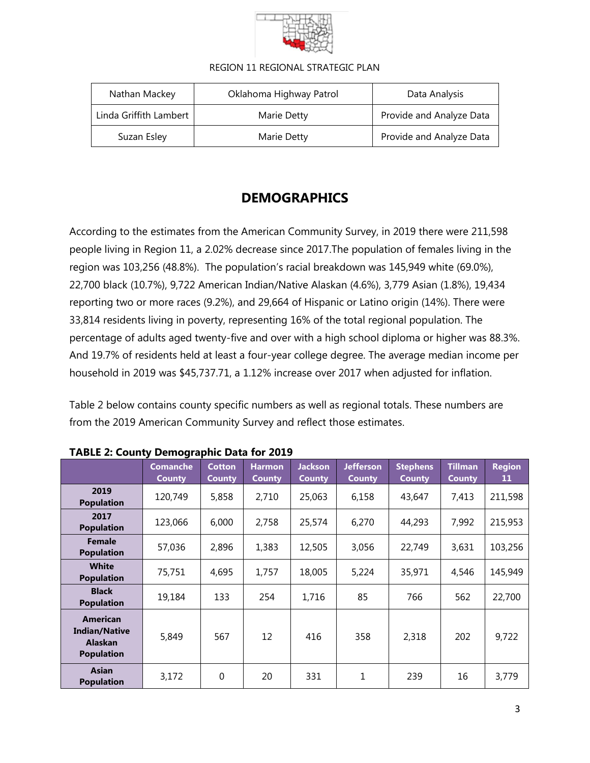

| Nathan Mackey          | Oklahoma Highway Patrol | Data Analysis            |
|------------------------|-------------------------|--------------------------|
| Linda Griffith Lambert | Marie Detty             | Provide and Analyze Data |
| Suzan Esley            | Marie Detty             | Provide and Analyze Data |

# **DEMOGRAPHICS**

According to the estimates from the American Community Survey, in 2019 there were 211,598 people living in Region 11, a 2.02% decrease since 2017.The population of females living in the region was 103,256 (48.8%). The population's racial breakdown was 145,949 white (69.0%), 22,700 black (10.7%), 9,722 American Indian/Native Alaskan (4.6%), 3,779 Asian (1.8%), 19,434 reporting two or more races (9.2%), and 29,664 of Hispanic or Latino origin (14%). There were 33,814 residents living in poverty, representing 16% of the total regional population. The percentage of adults aged twenty-five and over with a high school diploma or higher was 88.3%. And 19.7% of residents held at least a four-year college degree. The average median income per household in 2019 was \$45,737.71, a 1.12% increase over 2017 when adjusted for inflation.

Table 2 below contains county specific numbers as well as regional totals. These numbers are from the 2019 American Community Survey and reflect those estimates.

|                                                                                | 9. Tr                            |                                |                                |                                 |                                   |                                  |                                 |                     |
|--------------------------------------------------------------------------------|----------------------------------|--------------------------------|--------------------------------|---------------------------------|-----------------------------------|----------------------------------|---------------------------------|---------------------|
|                                                                                | <b>Comanche</b><br><b>County</b> | <b>Cotton</b><br><b>County</b> | <b>Harmon</b><br><b>County</b> | <b>Jackson</b><br><b>County</b> | <b>Jefferson</b><br><b>County</b> | <b>Stephens</b><br><b>County</b> | <b>Tillman</b><br><b>County</b> | <b>Region</b><br>11 |
| 2019<br><b>Population</b>                                                      | 120,749                          | 5,858                          | 2,710                          | 25,063                          | 6,158                             | 43,647                           | 7,413                           | 211,598             |
| 2017<br><b>Population</b>                                                      | 123,066                          | 6,000                          | 2,758                          | 25,574                          | 6,270                             | 44,293                           | 7,992                           | 215,953             |
| <b>Female</b><br><b>Population</b>                                             | 57,036                           | 2,896                          | 1,383                          | 12,505                          | 3,056                             | 22,749                           | 3,631                           | 103,256             |
| <b>White</b><br><b>Population</b>                                              | 75,751                           | 4,695                          | 1,757                          | 18,005                          | 5,224                             | 35,971                           | 4,546                           | 145,949             |
| <b>Black</b><br><b>Population</b>                                              | 19,184                           | 133                            | 254                            | 1,716                           | 85                                | 766                              | 562                             | 22,700              |
| <b>American</b><br><b>Indian/Native</b><br><b>Alaskan</b><br><b>Population</b> | 5,849                            | 567                            | 12                             | 416                             | 358                               | 2,318                            | 202                             | 9,722               |
| <b>Asian</b><br><b>Population</b>                                              | 3,172                            | 0                              | 20                             | 331                             | 1                                 | 239                              | 16                              | 3,779               |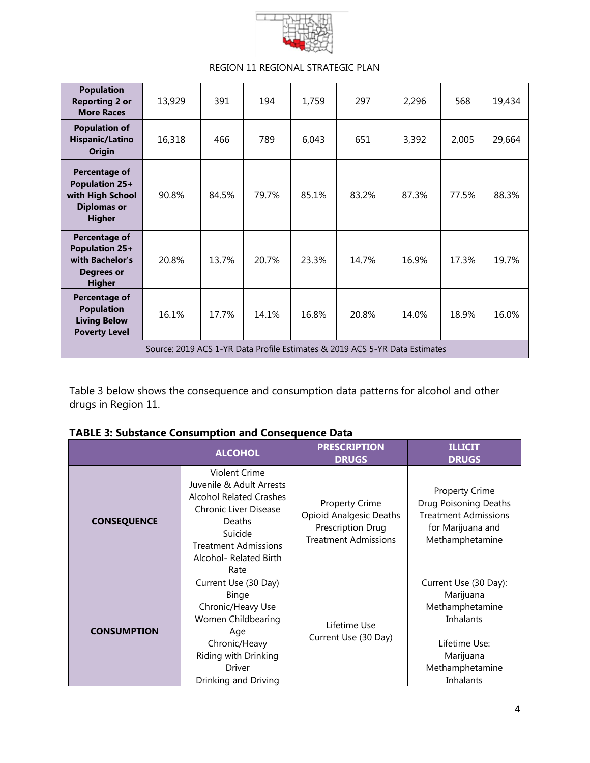

| <b>Population</b><br><b>Reporting 2 or</b><br><b>More Races</b>                            | 13,929                                                                      | 391   | 194   | 1,759 | 297   | 2,296 | 568   | 19,434 |
|--------------------------------------------------------------------------------------------|-----------------------------------------------------------------------------|-------|-------|-------|-------|-------|-------|--------|
| <b>Population of</b><br><b>Hispanic/Latino</b><br>Origin                                   | 16,318                                                                      | 466   | 789   | 6,043 | 651   | 3,392 | 2,005 | 29,664 |
| Percentage of<br>Population 25+<br>with High School<br><b>Diplomas or</b><br><b>Higher</b> | 90.8%                                                                       | 84.5% | 79.7% | 85.1% | 83.2% | 87.3% | 77.5% | 88.3%  |
| Percentage of<br>Population 25+<br>with Bachelor's<br><b>Degrees or</b><br><b>Higher</b>   | 20.8%                                                                       | 13.7% | 20.7% | 23.3% | 14.7% | 16.9% | 17.3% | 19.7%  |
| <b>Percentage of</b><br><b>Population</b><br><b>Living Below</b><br><b>Poverty Level</b>   | 16.1%                                                                       | 17.7% | 14.1% | 16.8% | 20.8% | 14.0% | 18.9% | 16.0%  |
|                                                                                            | Source: 2019 ACS 1-YR Data Profile Estimates & 2019 ACS 5-YR Data Estimates |       |       |       |       |       |       |        |

Table 3 below shows the consequence and consumption data patterns for alcohol and other drugs in Region 11.

|  | <b>TABLE 3: Substance Consumption and Consequence Data</b> |  |  |  |
|--|------------------------------------------------------------|--|--|--|
|  |                                                            |  |  |  |

|                    | <b>ALCOHOL</b>                                                                                                                                                                                           | <b>PRESCRIPTION</b><br><b>DRUGS</b>                                                                         | <b>ILLICIT</b><br><b>DRUGS</b>                                                                                                   |  |
|--------------------|----------------------------------------------------------------------------------------------------------------------------------------------------------------------------------------------------------|-------------------------------------------------------------------------------------------------------------|----------------------------------------------------------------------------------------------------------------------------------|--|
| <b>CONSEQUENCE</b> | Violent Crime<br>Juvenile & Adult Arrests<br><b>Alcohol Related Crashes</b><br><b>Chronic Liver Disease</b><br><b>Deaths</b><br>Suicide<br><b>Treatment Admissions</b><br>Alcohol- Related Birth<br>Rate | <b>Property Crime</b><br><b>Opioid Analgesic Deaths</b><br>Prescription Drug<br><b>Treatment Admissions</b> | <b>Property Crime</b><br>Drug Poisoning Deaths<br><b>Treatment Admissions</b><br>for Marijuana and<br>Methamphetamine            |  |
| <b>CONSUMPTION</b> | Current Use (30 Day)<br><b>Binge</b><br>Chronic/Heavy Use<br>Women Childbearing<br>Age<br>Chronic/Heavy<br>Riding with Drinking<br><b>Driver</b><br>Drinking and Driving                                 | Lifetime Use<br>Current Use (30 Day)                                                                        | Current Use (30 Day):<br>Marijuana<br>Methamphetamine<br>Inhalants<br>Lifetime Use:<br>Marijuana<br>Methamphetamine<br>Inhalants |  |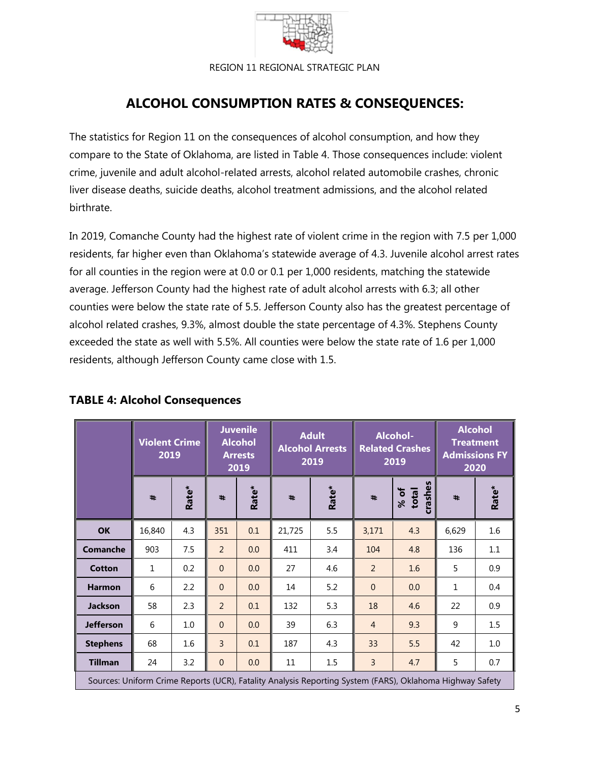

# **ALCOHOL CONSUMPTION RATES & CONSEQUENCES:**

The statistics for Region 11 on the consequences of alcohol consumption, and how they compare to the State of Oklahoma, are listed in Table 4. Those consequences include: violent crime, juvenile and adult alcohol-related arrests, alcohol related automobile crashes, chronic liver disease deaths, suicide deaths, alcohol treatment admissions, and the alcohol related birthrate.

In 2019, Comanche County had the highest rate of violent crime in the region with 7.5 per 1,000 residents, far higher even than Oklahoma's statewide average of 4.3. Juvenile alcohol arrest rates for all counties in the region were at 0.0 or 0.1 per 1,000 residents, matching the statewide average. Jefferson County had the highest rate of adult alcohol arrests with 6.3; all other counties were below the state rate of 5.5. Jefferson County also has the greatest percentage of alcohol related crashes, 9.3%, almost double the state percentage of 4.3%. Stephens County exceeded the state as well with 5.5%. All counties were below the state rate of 1.6 per 1,000 residents, although Jefferson County came close with 1.5.

|                                                                                                          | <b>Violent Crime</b><br>2019 |       |                | <b>Juvenile</b><br><b>Adult</b><br><b>Alcohol</b><br><b>Alcohol Arrests</b><br><b>Arrests</b><br>2019<br>2019 |                     |       | Alcohol-<br><b>Related Crashes</b><br>2019 | <b>Alcohol</b><br><b>Treatment</b><br><b>Admissions FY</b><br>2020 |              |       |
|----------------------------------------------------------------------------------------------------------|------------------------------|-------|----------------|---------------------------------------------------------------------------------------------------------------|---------------------|-------|--------------------------------------------|--------------------------------------------------------------------|--------------|-------|
|                                                                                                          | $\ddot{}$                    | Rate* | #              | Rate*                                                                                                         | $\ddot{\textbf{r}}$ | Rate* | #                                          | crashes<br>% of<br>total                                           | #            | Rate* |
| <b>OK</b>                                                                                                | 16,840                       | 4.3   | 351            | 0.1                                                                                                           | 21,725              | 5.5   | 3,171                                      | 4.3                                                                | 6,629        | 1.6   |
| <b>Comanche</b>                                                                                          | 903                          | 7.5   | 2              | 0.0                                                                                                           | 411                 | 3.4   | 104                                        | 4.8                                                                | 136          | 1.1   |
| <b>Cotton</b>                                                                                            | 1                            | 0.2   | $\Omega$       | 0.0                                                                                                           | 27                  | 4.6   | 2                                          | 1.6                                                                | 5            | 0.9   |
| <b>Harmon</b>                                                                                            | 6                            | 2.2   | $\Omega$       | 0.0                                                                                                           | 14                  | 5.2   | $\Omega$                                   | 0.0                                                                | $\mathbf{1}$ | 0.4   |
| <b>Jackson</b>                                                                                           | 58                           | 2.3   | $\overline{2}$ | 0.1                                                                                                           | 132                 | 5.3   | 18                                         | 4.6                                                                | 22           | 0.9   |
| <b>Jefferson</b>                                                                                         | 6                            | 1.0   | $\overline{0}$ | 0.0                                                                                                           | 39                  | 6.3   | $\overline{4}$                             | 9.3                                                                | 9            | 1.5   |
| <b>Stephens</b>                                                                                          | 68                           | 1.6   | $\overline{3}$ | 0.1                                                                                                           | 187                 | 4.3   | 33                                         | 5.5                                                                | 42           | 1.0   |
| <b>Tillman</b>                                                                                           | 24                           | 3.2   | $\overline{0}$ | 0.0                                                                                                           | 11                  | 1.5   | 3                                          | 4.7                                                                | 5            | 0.7   |
| Sources: Uniform Crime Reports (UCR), Fatality Analysis Reporting System (FARS), Oklahoma Highway Safety |                              |       |                |                                                                                                               |                     |       |                                            |                                                                    |              |       |

## **TABLE 4: Alcohol Consequences**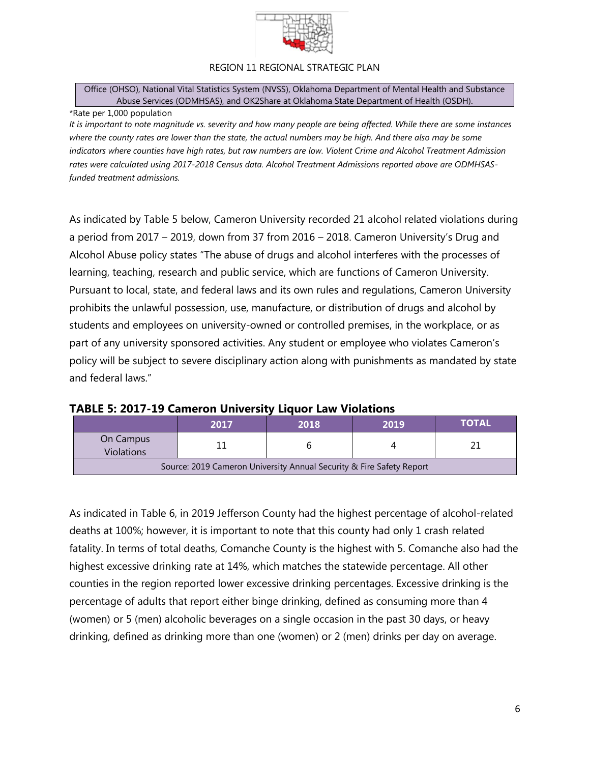

Office (OHSO), National Vital Statistics System (NVSS), Oklahoma Department of Mental Health and Substance Abuse Services (ODMHSAS), and OK2Share at Oklahoma State Department of Health (OSDH).

#### \*Rate per 1,000 population

*It is important to note magnitude vs. severity and how many people are being affected. While there are some instances where the county rates are lower than the state, the actual numbers may be high. And there also may be some indicators where counties have high rates, but raw numbers are low. Violent Crime and Alcohol Treatment Admission rates were calculated using 2017-2018 Census data. Alcohol Treatment Admissions reported above are ODMHSASfunded treatment admissions.*

As indicated by Table 5 below, Cameron University recorded 21 alcohol related violations during a period from 2017 – 2019, down from 37 from 2016 – 2018. Cameron University's Drug and Alcohol Abuse policy states "The abuse of drugs and alcohol interferes with the processes of learning, teaching, research and public service, which are functions of Cameron University. Pursuant to local, state, and federal laws and its own rules and regulations, Cameron University prohibits the unlawful possession, use, manufacture, or distribution of drugs and alcohol by students and employees on university-owned or controlled premises, in the workplace, or as part of any university sponsored activities. Any student or employee who violates Cameron's policy will be subject to severe disciplinary action along with punishments as mandated by state and federal laws."

|                                                                      | 2017 | 2018 | 2019 | TOTAL |  |  |  |
|----------------------------------------------------------------------|------|------|------|-------|--|--|--|
| On Campus<br><b>Violations</b>                                       |      |      |      |       |  |  |  |
| Source: 2019 Cameron University Annual Security & Fire Safety Report |      |      |      |       |  |  |  |

## **TABLE 5: 2017-19 Cameron University Liquor Law Violations**

As indicated in Table 6, in 2019 Jefferson County had the highest percentage of alcohol-related deaths at 100%; however, it is important to note that this county had only 1 crash related fatality. In terms of total deaths, Comanche County is the highest with 5. Comanche also had the highest excessive drinking rate at 14%, which matches the statewide percentage. All other counties in the region reported lower excessive drinking percentages. Excessive drinking is the percentage of adults that report either binge drinking, defined as consuming more than 4 (women) or 5 (men) alcoholic beverages on a single occasion in the past 30 days, or heavy drinking, defined as drinking more than one (women) or 2 (men) drinks per day on average.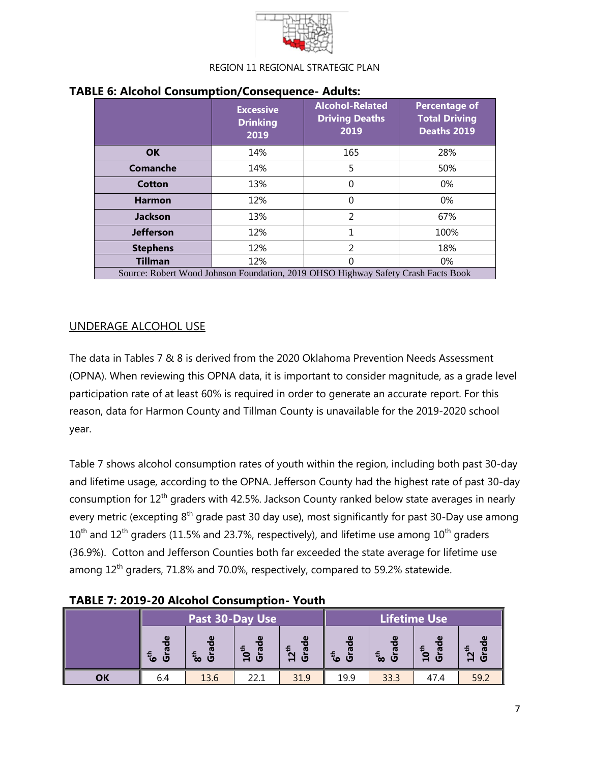

|                  | <b>Excessive</b><br><b>Drinking</b><br>2019 | <b>Alcohol-Related</b><br><b>Driving Deaths</b><br>2019 | <b>Percentage of</b><br><b>Total Driving</b><br>Deaths 2019 |
|------------------|---------------------------------------------|---------------------------------------------------------|-------------------------------------------------------------|
| <b>OK</b>        | 14%                                         | 165                                                     | 28%                                                         |
| Comanche         | 14%                                         | 5                                                       | 50%                                                         |
| Cotton           | 13%                                         | 0                                                       | $0\%$                                                       |
| <b>Harmon</b>    | 12%                                         | 0                                                       | 0%                                                          |
| <b>Jackson</b>   | 13%                                         | 2                                                       | 67%                                                         |
| <b>Jefferson</b> | 12%                                         | 1                                                       | 100%                                                        |
| <b>Stephens</b>  | 12%                                         | $\overline{\phantom{a}}$                                | 18%                                                         |
| <b>Tillman</b>   | 12%                                         | 0                                                       | $0\%$                                                       |

## **TABLE 6: Alcohol Consumption/Consequence- Adults:**

## UNDERAGE ALCOHOL USE

The data in Tables 7 & 8 is derived from the 2020 Oklahoma Prevention Needs Assessment (OPNA). When reviewing this OPNA data, it is important to consider magnitude, as a grade level participation rate of at least 60% is required in order to generate an accurate report. For this reason, data for Harmon County and Tillman County is unavailable for the 2019-2020 school year.

Table 7 shows alcohol consumption rates of youth within the region, including both past 30-day and lifetime usage, according to the OPNA. Jefferson County had the highest rate of past 30-day consumption for 12<sup>th</sup> graders with 42.5%. Jackson County ranked below state averages in nearly every metric (excepting  $8<sup>th</sup>$  grade past 30 day use), most significantly for past 30-Day use among  $10^{th}$  and  $12^{th}$  graders (11.5% and 23.7%, respectively), and lifetime use among  $10^{th}$  graders (36.9%). Cotton and Jefferson Counties both far exceeded the state average for lifetime use among 12<sup>th</sup> graders, 71.8% and 70.0%, respectively, compared to 59.2% statewide.

| TABLE 7: 2019-20 Alcohol Consumption- Youth |  |
|---------------------------------------------|--|
|                                             |  |

|    |                                    | Past 30-Day Use                 |                                        |                                     | Lifetime Use            |           |                                              |                                    |
|----|------------------------------------|---------------------------------|----------------------------------------|-------------------------------------|-------------------------|-----------|----------------------------------------------|------------------------------------|
|    | ω<br>$\mathbf{6}^{\text{th}}$<br>U | $\omega$<br>E.<br>ै<br>$\infty$ | ω<br>$\epsilon$<br>U<br>$\blacksquare$ | ω<br>2 <sup>th</sup><br>ത<br>O<br>ᆸ | $\omega$<br>£<br>U<br>ശ | ω<br>ັ∞ ປ | ω<br>$\epsilon$<br>$\tilde{\mathbf{a}}$<br>O | $\mathbf{z}^{\text{th}}$<br>O<br>Н |
|    |                                    |                                 |                                        |                                     |                         |           | $\blacksquare$                               |                                    |
| OK | 6.4                                | 13.6                            | 22.1                                   | 31.9                                | 19.9                    | 33.3      | 47.4                                         | 59.2                               |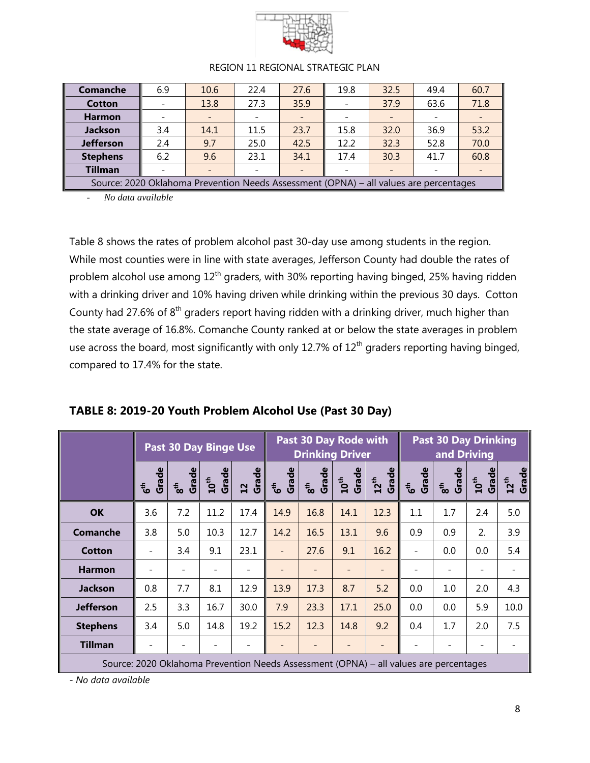

| <b>Comanche</b>                                                                       | 6.9 | 10.6                     | 22.4 | 27.6                     | 19.8                     | 32.5 | 49.4 | 60.7 |
|---------------------------------------------------------------------------------------|-----|--------------------------|------|--------------------------|--------------------------|------|------|------|
| <b>Cotton</b>                                                                         |     | 13.8                     | 27.3 | 35.9                     |                          | 37.9 | 63.6 | 71.8 |
| <b>Harmon</b>                                                                         |     | $\overline{\phantom{0}}$ |      | $\overline{\phantom{0}}$ |                          |      |      |      |
| <b>Jackson</b>                                                                        | 3.4 | 14.1                     | 11.5 | 23.7                     | 15.8                     | 32.0 | 36.9 | 53.2 |
| <b>Jefferson</b>                                                                      | 2.4 | 9.7                      | 25.0 | 42.5                     | 12.2                     | 32.3 | 52.8 | 70.0 |
| <b>Stephens</b>                                                                       | 6.2 | 9.6                      | 23.1 | 34.1                     | 17.4                     | 30.3 | 41.7 | 60.8 |
| <b>Tillman</b>                                                                        |     | $\overline{\phantom{0}}$ |      | $\overline{\phantom{0}}$ | $\overline{\phantom{0}}$ |      |      |      |
| Source: 2020 Oklahoma Prevention Needs Assessment (OPNA) - all values are percentages |     |                          |      |                          |                          |      |      |      |

- *No data available*

Table 8 shows the rates of problem alcohol past 30-day use among students in the region. While most counties were in line with state averages, Jefferson County had double the rates of problem alcohol use among  $12<sup>th</sup>$  graders, with 30% reporting having binged, 25% having ridden with a drinking driver and 10% having driven while drinking within the previous 30 days. Cotton County had 27.6% of 8<sup>th</sup> graders report having ridden with a drinking driver, much higher than the state average of 16.8%. Comanche County ranked at or below the state averages in problem use across the board, most significantly with only 12.7% of 12<sup>th</sup> graders reporting having binged, compared to 17.4% for the state.

|                  |                                                                                       |                          | <b>Past 30 Day Binge Use</b> |             | Past 30 Day Rode with<br><b>Drinking Driver</b> |                          |                           |                    | <b>Past 30 Day Drinking</b><br>and Driving |                          |                    |                    |
|------------------|---------------------------------------------------------------------------------------|--------------------------|------------------------------|-------------|-------------------------------------------------|--------------------------|---------------------------|--------------------|--------------------------------------------|--------------------------|--------------------|--------------------|
|                  | Grade<br>ئ <del>ا</del>                                                               | Grade<br>8 <sup>th</sup> | Grade<br>$10^{th}$           | Grade<br>12 | Grade<br>6 <sup>th</sup>                        | Grade<br>8 <sup>th</sup> | Grade<br>10 <sup>th</sup> | Grade<br>$12^{th}$ | Grade<br>6 <sup>th</sup>                   | Grade<br>8 <sup>th</sup> | Grade<br>$10^{th}$ | Grade<br>$12^{th}$ |
| <b>OK</b>        | 3.6                                                                                   | 7.2                      | 11.2                         | 17.4        | 14.9                                            | 16.8                     | 14.1                      | 12.3               | 1.1                                        | 1.7                      | 2.4                | 5.0                |
| Comanche         | 3.8                                                                                   | 5.0                      | 10.3                         | 12.7        | 14.2                                            | 16.5                     | 13.1                      | 9.6                | 0.9                                        | 0.9                      | 2.                 | 3.9                |
| <b>Cotton</b>    | $\overline{\phantom{a}}$                                                              | 3.4                      | 9.1                          | 23.1        | $\overline{\phantom{0}}$                        | 27.6                     | 9.1                       | 16.2               | $\overline{a}$                             | 0.0                      | 0.0                | 5.4                |
| <b>Harmon</b>    |                                                                                       |                          |                              |             |                                                 |                          |                           |                    |                                            |                          |                    |                    |
| <b>Jackson</b>   | 0.8                                                                                   | 7.7                      | 8.1                          | 12.9        | 13.9                                            | 17.3                     | 8.7                       | 5.2                | 0.0                                        | 1.0                      | 2.0                | 4.3                |
| <b>Jefferson</b> | 2.5                                                                                   | 3.3                      | 16.7                         | 30.0        | 7.9                                             | 23.3                     | 17.1                      | 25.0               | 0.0                                        | $0.0\,$                  | 5.9                | 10.0               |
| <b>Stephens</b>  | 3.4                                                                                   | 5.0                      | 14.8                         | 19.2        | 15.2                                            | 12.3                     | 14.8                      | 9.2                | 0.4                                        | 1.7                      | 2.0                | 7.5                |
| <b>Tillman</b>   | $\overline{\phantom{0}}$                                                              |                          |                              | -           |                                                 |                          |                           | -                  |                                            |                          | $\qquad \qquad$    | -                  |
|                  | Source: 2020 Oklahoma Prevention Needs Assessment (OPNA) – all values are percentages |                          |                              |             |                                                 |                          |                           |                    |                                            |                          |                    |                    |

| TABLE 8: 2019-20 Youth Problem Alcohol Use (Past 30 Day) |  |  |  |  |
|----------------------------------------------------------|--|--|--|--|
|                                                          |  |  |  |  |

*- No data available*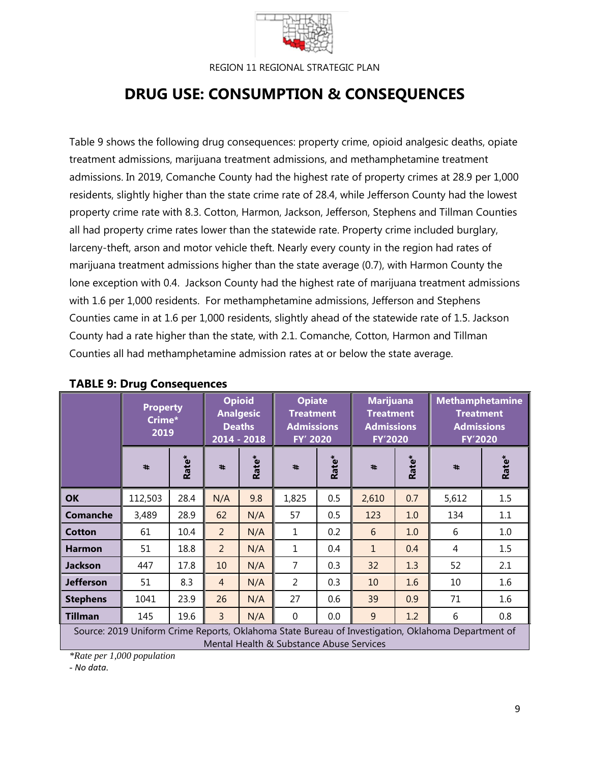

# **DRUG USE: CONSUMPTION & CONSEQUENCES**

Table 9 shows the following drug consequences: property crime, opioid analgesic deaths, opiate treatment admissions, marijuana treatment admissions, and methamphetamine treatment admissions. In 2019, Comanche County had the highest rate of property crimes at 28.9 per 1,000 residents, slightly higher than the state crime rate of 28.4, while Jefferson County had the lowest property crime rate with 8.3. Cotton, Harmon, Jackson, Jefferson, Stephens and Tillman Counties all had property crime rates lower than the statewide rate. Property crime included burglary, larceny-theft, arson and motor vehicle theft. Nearly every county in the region had rates of marijuana treatment admissions higher than the state average (0.7), with Harmon County the lone exception with 0.4. Jackson County had the highest rate of marijuana treatment admissions with 1.6 per 1,000 residents. For methamphetamine admissions, Jefferson and Stephens Counties came in at 1.6 per 1,000 residents, slightly ahead of the statewide rate of 1.5. Jackson County had a rate higher than the state, with 2.1. Comanche, Cotton, Harmon and Tillman Counties all had methamphetamine admission rates at or below the state average.

|                  |                                                                                                                                                | <b>Property</b><br>Crime*<br>2019 |                | <b>Opioid</b><br><b>Analgesic</b><br><b>Deaths</b><br>2014 - 2018 |                | <b>Opiate</b><br><b>Treatment</b><br><b>Admissions</b><br>FY' 2020 |              | <b>Marijuana</b><br><b>Treatment</b><br><b>Admissions</b><br><b>FY'2020</b> |       | <b>Methamphetamine</b><br><b>Treatment</b><br><b>Admissions</b><br><b>FY'2020</b> |  |  |
|------------------|------------------------------------------------------------------------------------------------------------------------------------------------|-----------------------------------|----------------|-------------------------------------------------------------------|----------------|--------------------------------------------------------------------|--------------|-----------------------------------------------------------------------------|-------|-----------------------------------------------------------------------------------|--|--|
|                  | #                                                                                                                                              | Rate*                             | #              | Rate*                                                             | #              | Rate*                                                              | #            | Rate*                                                                       | #     | Rate*                                                                             |  |  |
| <b>OK</b>        | 112,503                                                                                                                                        | 28.4                              | N/A            | 9.8                                                               | 1,825          | 0.5                                                                | 2,610        | 0.7                                                                         | 5,612 | 1.5                                                                               |  |  |
| <b>Comanche</b>  | 3,489                                                                                                                                          | 28.9                              | 62             | N/A                                                               | 57             | 0.5                                                                | 123          | 1.0                                                                         | 134   | 1.1                                                                               |  |  |
| <b>Cotton</b>    | 61                                                                                                                                             | 10.4                              | $\overline{2}$ | N/A                                                               | $\mathbf{1}$   | 0.2                                                                | 6            | 1.0                                                                         | 6     | 1.0                                                                               |  |  |
| <b>Harmon</b>    | 51                                                                                                                                             | 18.8                              | $\overline{2}$ | N/A                                                               | 1              | 0.4                                                                | $\mathbf{1}$ | 0.4                                                                         | 4     | 1.5                                                                               |  |  |
| <b>Jackson</b>   | 447                                                                                                                                            | 17.8                              | 10             | N/A                                                               | $\overline{7}$ | 0.3                                                                | 32           | 1.3                                                                         | 52    | 2.1                                                                               |  |  |
| <b>Jefferson</b> | 51                                                                                                                                             | 8.3                               | $\overline{4}$ | N/A                                                               | $\overline{2}$ | 0.3                                                                | 10           | 1.6                                                                         | 10    | 1.6                                                                               |  |  |
| <b>Stephens</b>  | 1041                                                                                                                                           | 23.9                              | 26             | N/A                                                               | 27             | 0.6                                                                | 39           | 0.9                                                                         | 71    | 1.6                                                                               |  |  |
| <b>Tillman</b>   | 145                                                                                                                                            | 19.6                              | $\overline{3}$ | N/A                                                               | $\mathbf 0$    | 0.0                                                                | 9            | 1.2                                                                         | 6     | 0.8                                                                               |  |  |
|                  | Source: 2019 Uniform Crime Reports, Oklahoma State Bureau of Investigation, Oklahoma Department of<br>Mental Health & Substance Abuse Services |                                   |                |                                                                   |                |                                                                    |              |                                                                             |       |                                                                                   |  |  |

## **TABLE 9: Drug Consequences**

*\*Rate per 1,000 population* 

*- No data.*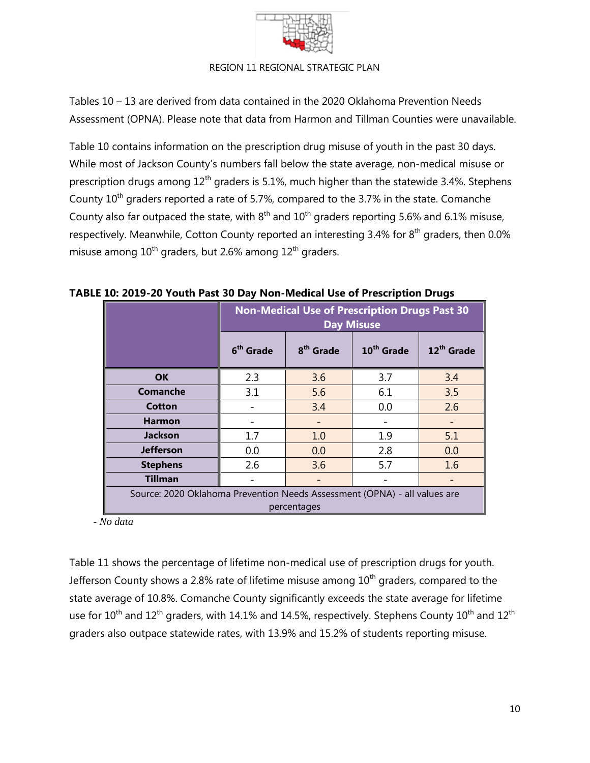

Tables 10 – 13 are derived from data contained in the 2020 Oklahoma Prevention Needs Assessment (OPNA). Please note that data from Harmon and Tillman Counties were unavailable.

Table 10 contains information on the prescription drug misuse of youth in the past 30 days. While most of Jackson County's numbers fall below the state average, non-medical misuse or prescription drugs among  $12<sup>th</sup>$  graders is 5.1%, much higher than the statewide 3.4%. Stephens County  $10<sup>th</sup>$  graders reported a rate of 5.7%, compared to the 3.7% in the state. Comanche County also far outpaced the state, with  $8<sup>th</sup>$  and  $10<sup>th</sup>$  graders reporting 5.6% and 6.1% misuse, respectively. Meanwhile, Cotton County reported an interesting 3.4% for 8<sup>th</sup> graders, then 0.0% misuse among  $10^{th}$  graders, but 2.6% among  $12^{th}$  graders.

|                                                                                          | <b>Non-Medical Use of Prescription Drugs Past 30</b><br><b>Day Misuse</b> |                       |                        |                        |  |  |  |  |
|------------------------------------------------------------------------------------------|---------------------------------------------------------------------------|-----------------------|------------------------|------------------------|--|--|--|--|
|                                                                                          | 6 <sup>th</sup> Grade                                                     | 8 <sup>th</sup> Grade | 10 <sup>th</sup> Grade | 12 <sup>th</sup> Grade |  |  |  |  |
| <b>OK</b>                                                                                | 2.3                                                                       | 3.6                   | 3.7                    | 3.4                    |  |  |  |  |
| Comanche                                                                                 | 3.1                                                                       | 5.6                   | 6.1                    | 3.5                    |  |  |  |  |
| Cotton                                                                                   |                                                                           | 3.4                   | 0.0                    | 2.6                    |  |  |  |  |
| <b>Harmon</b>                                                                            |                                                                           |                       |                        |                        |  |  |  |  |
| <b>Jackson</b>                                                                           | 1.7                                                                       | 1.0                   | 1.9                    | 5.1                    |  |  |  |  |
| <b>Jefferson</b>                                                                         | 0.0                                                                       | 0.0                   | 2.8                    | 0.0                    |  |  |  |  |
| <b>Stephens</b>                                                                          | 2.6                                                                       | 3.6                   | 5.7                    | 1.6                    |  |  |  |  |
| <b>Tillman</b>                                                                           |                                                                           |                       |                        |                        |  |  |  |  |
| Source: 2020 Oklahoma Prevention Needs Assessment (OPNA) - all values are<br>percentages |                                                                           |                       |                        |                        |  |  |  |  |

## **TABLE 10: 2019-20 Youth Past 30 Day Non-Medical Use of Prescription Drugs**

 *- No data*

Table 11 shows the percentage of lifetime non-medical use of prescription drugs for youth. Jefferson County shows a 2.8% rate of lifetime misuse among  $10<sup>th</sup>$  graders, compared to the state average of 10.8%. Comanche County significantly exceeds the state average for lifetime use for  $10^{th}$  and  $12^{th}$  graders, with 14.1% and 14.5%, respectively. Stephens County  $10^{th}$  and  $12^{th}$ graders also outpace statewide rates, with 13.9% and 15.2% of students reporting misuse.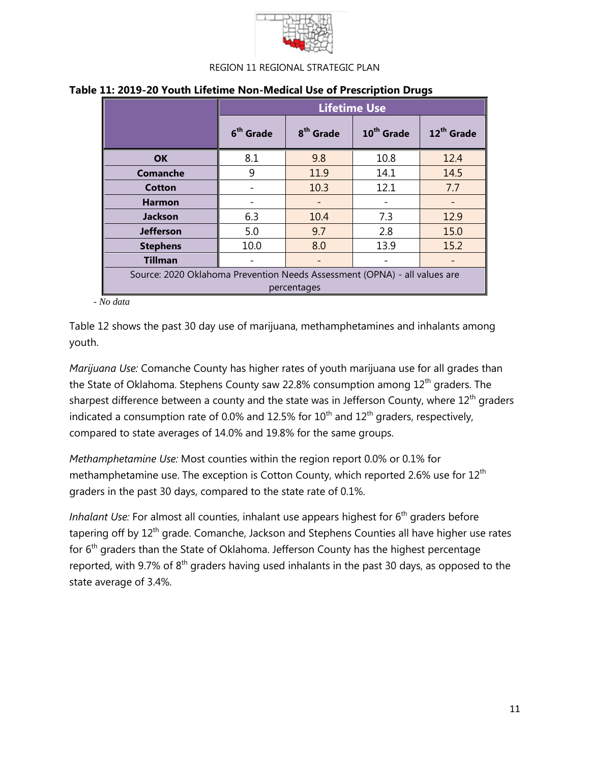

|                                                                                          |                       | <b>Lifetime Use</b>   |                        |                        |  |  |  |  |  |  |
|------------------------------------------------------------------------------------------|-----------------------|-----------------------|------------------------|------------------------|--|--|--|--|--|--|
|                                                                                          | 6 <sup>th</sup> Grade | 8 <sup>th</sup> Grade | 10 <sup>th</sup> Grade | 12 <sup>th</sup> Grade |  |  |  |  |  |  |
| <b>OK</b>                                                                                | 8.1                   | 9.8                   | 10.8                   | 12.4                   |  |  |  |  |  |  |
| Comanche                                                                                 | 9                     | 11.9                  | 14.1                   | 14.5                   |  |  |  |  |  |  |
| Cotton                                                                                   |                       | 10.3                  | 12.1                   | 7.7                    |  |  |  |  |  |  |
| <b>Harmon</b>                                                                            |                       |                       |                        |                        |  |  |  |  |  |  |
| <b>Jackson</b>                                                                           | 6.3                   | 10.4                  | 7.3                    | 12.9                   |  |  |  |  |  |  |
| <b>Jefferson</b>                                                                         | 5.0                   | 9.7                   | 2.8                    | 15.0                   |  |  |  |  |  |  |
| <b>Stephens</b>                                                                          | 10.0                  | 8.0                   | 13.9                   | 15.2                   |  |  |  |  |  |  |
| <b>Tillman</b>                                                                           |                       |                       |                        |                        |  |  |  |  |  |  |
| Source: 2020 Oklahoma Prevention Needs Assessment (OPNA) - all values are<br>percentages |                       |                       |                        |                        |  |  |  |  |  |  |

## **Table 11: 2019-20 Youth Lifetime Non-Medical Use of Prescription Drugs**

 *- No data*

Table 12 shows the past 30 day use of marijuana, methamphetamines and inhalants among youth.

*Marijuana Use:* Comanche County has higher rates of youth marijuana use for all grades than the State of Oklahoma. Stephens County saw 22.8% consumption among 12<sup>th</sup> graders. The sharpest difference between a county and the state was in Jefferson County, where  $12<sup>th</sup>$  graders indicated a consumption rate of 0.0% and 12.5% for  $10^{th}$  and  $12^{th}$  graders, respectively, compared to state averages of 14.0% and 19.8% for the same groups.

*Methamphetamine Use:* Most counties within the region report 0.0% or 0.1% for methamphetamine use. The exception is Cotton County, which reported 2.6% use for  $12<sup>th</sup>$ graders in the past 30 days, compared to the state rate of 0.1%.

*Inhalant Use:* For almost all counties, inhalant use appears highest for 6<sup>th</sup> graders before tapering off by 12<sup>th</sup> grade. Comanche, Jackson and Stephens Counties all have higher use rates for 6<sup>th</sup> graders than the State of Oklahoma. Jefferson County has the highest percentage reported, with 9.7% of  $8<sup>th</sup>$  graders having used inhalants in the past 30 days, as opposed to the state average of 3.4%.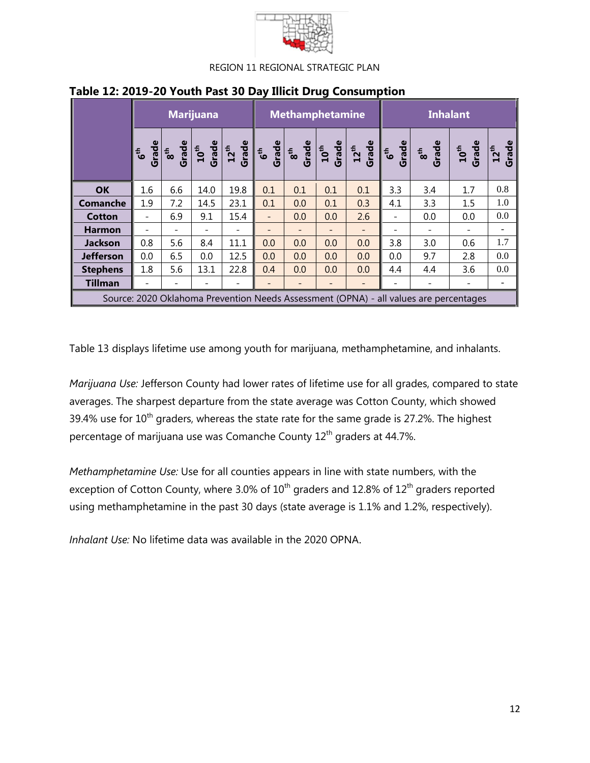

|                  |                          |     | <b>Marijuana</b> |      |                          | <b>Methamphetamine</b> |     |     |                          | <b>Inhalant</b>                                                                       |     |                           |  |
|------------------|--------------------------|-----|------------------|------|--------------------------|------------------------|-----|-----|--------------------------|---------------------------------------------------------------------------------------|-----|---------------------------|--|
|                  |                          |     |                  |      |                          |                        |     |     |                          |                                                                                       |     | Grade<br>$\frac{1}{2}$ th |  |
| <b>OK</b>        | 1.6                      | 6.6 | 14.0             | 19.8 | 0.1                      | 0.1                    | 0.1 | 0.1 | 3.3                      | 3.4                                                                                   | 1.7 | 0.8                       |  |
| <b>Comanche</b>  | 1.9                      | 7.2 | 14.5             | 23.1 | 0.1                      | 0.0                    | 0.1 | 0.3 | 4.1                      | 3.3                                                                                   | 1.5 | 1.0                       |  |
| <b>Cotton</b>    | $\overline{\phantom{0}}$ | 6.9 | 9.1              | 15.4 | $\overline{\phantom{0}}$ | 0.0                    | 0.0 | 2.6 | $\overline{\phantom{a}}$ | 0.0                                                                                   | 0.0 | 0.0                       |  |
| <b>Harmon</b>    |                          |     |                  |      |                          |                        |     |     |                          |                                                                                       |     |                           |  |
| <b>Jackson</b>   | 0.8                      | 5.6 | 8.4              | 11.1 | 0.0                      | 0.0                    | 0.0 | 0.0 | 3.8                      | 3.0                                                                                   | 0.6 | 1.7                       |  |
| <b>Jefferson</b> | 0.0                      | 6.5 | 0.0              | 12.5 | 0.0                      | 0.0                    | 0.0 | 0.0 | 0.0                      | 9.7                                                                                   | 2.8 | 0.0                       |  |
| <b>Stephens</b>  | 1.8                      | 5.6 | 13.1             | 22.8 | 0.4                      | 0.0                    | 0.0 | 0.0 | 4.4                      | 4.4                                                                                   | 3.6 | 0.0                       |  |
| <b>Tillman</b>   |                          |     |                  |      |                          |                        |     |     |                          |                                                                                       |     |                           |  |
|                  |                          |     |                  |      |                          |                        |     |     |                          | Source: 2020 Oklahoma Prevention Needs Assessment (OPNA) - all values are percentages |     |                           |  |

## **Table 12: 2019-20 Youth Past 30 Day Illicit Drug Consumption**

Table 13 displays lifetime use among youth for marijuana, methamphetamine, and inhalants.

*Marijuana Use:* Jefferson County had lower rates of lifetime use for all grades, compared to state averages. The sharpest departure from the state average was Cotton County, which showed 39.4% use for  $10<sup>th</sup>$  graders, whereas the state rate for the same grade is 27.2%. The highest percentage of marijuana use was Comanche County 12<sup>th</sup> graders at 44.7%.

*Methamphetamine Use:* Use for all counties appears in line with state numbers, with the exception of Cotton County, where 3.0% of  $10^{th}$  graders and 12.8% of  $12^{th}$  graders reported using methamphetamine in the past 30 days (state average is 1.1% and 1.2%, respectively).

*Inhalant Use:* No lifetime data was available in the 2020 OPNA.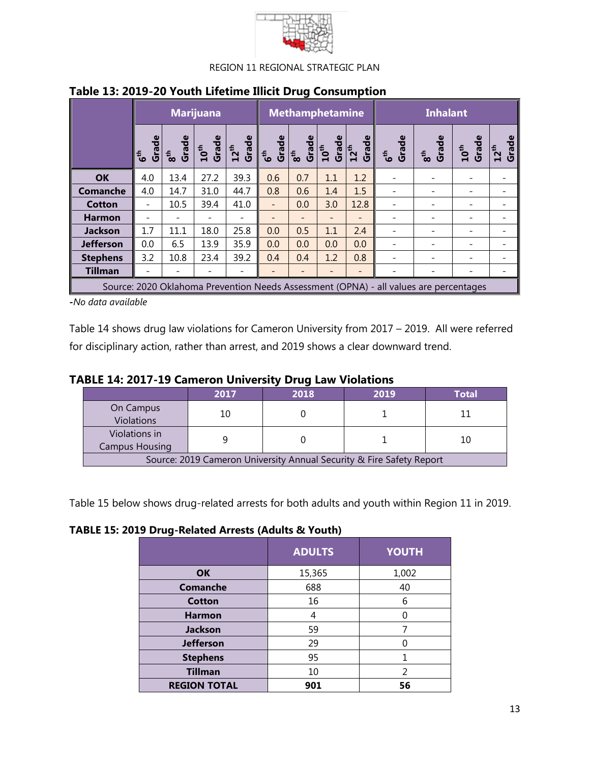

|                  |                                    |                          | <b>Marijuana</b> |                                                                                                                                                                          | <b>Methamphetamine</b> |                        |                                                 |       | <b>Inhalant</b>                                                                       |                          |                                              |                    |
|------------------|------------------------------------|--------------------------|------------------|--------------------------------------------------------------------------------------------------------------------------------------------------------------------------|------------------------|------------------------|-------------------------------------------------|-------|---------------------------------------------------------------------------------------|--------------------------|----------------------------------------------|--------------------|
|                  | Grade<br>$\mathbf{e}^{\mathbf{t}}$ | Grade<br>8 <sup>th</sup> |                  | $\begin{array}{c c} \texttt{10}^\texttt{th} \\\texttt{Grade} \\\texttt{12}^\texttt{th} \\\texttt{Grade} \\\texttt{6}^\texttt{th} \\\texttt{6}^\texttt{th} \\\end{array}$ | Grade                  | Grade<br>$\frac{1}{8}$ | Grade<br>$\frac{12^{th}}{12^{th}}$<br>$10^{th}$ | Grade | G <sup>th</sup><br>Grade                                                              | 8 <sup>th</sup><br>Grade | $\overline{\phantom{a}10}^{\text{th}}$ Grade | Grade<br>$12^{th}$ |
| <b>OK</b>        | 4.0                                | 13.4                     | 27.2             | 39.3                                                                                                                                                                     | 0.6                    | 0.7                    | 1.1                                             | 1.2   |                                                                                       |                          |                                              |                    |
| <b>Comanche</b>  | 4.0                                | 14.7                     | 31.0             | 44.7                                                                                                                                                                     | 0.8                    | 0.6                    | 1.4                                             | 1.5   |                                                                                       |                          |                                              |                    |
| <b>Cotton</b>    |                                    | 10.5                     | 39.4             | 41.0                                                                                                                                                                     |                        | 0.0                    | 3.0                                             | 12.8  |                                                                                       |                          |                                              |                    |
| <b>Harmon</b>    |                                    |                          |                  |                                                                                                                                                                          |                        |                        | $\qquad \qquad -$                               |       |                                                                                       |                          |                                              |                    |
| <b>Jackson</b>   | 1.7                                | 11.1                     | 18.0             | 25.8                                                                                                                                                                     | 0.0                    | 0.5                    | 1.1                                             | 2.4   |                                                                                       |                          |                                              |                    |
| <b>Jefferson</b> | 0.0                                | 6.5                      | 13.9             | 35.9                                                                                                                                                                     | 0.0                    | 0.0                    | 0.0                                             | 0.0   |                                                                                       |                          |                                              |                    |
| <b>Stephens</b>  | 3.2                                | 10.8                     | 23.4             | 39.2                                                                                                                                                                     | 0.4                    | 0.4                    | 1.2                                             | 0.8   |                                                                                       |                          |                                              |                    |
| <b>Tillman</b>   |                                    |                          |                  |                                                                                                                                                                          |                        |                        |                                                 |       |                                                                                       |                          |                                              |                    |
|                  |                                    |                          |                  |                                                                                                                                                                          |                        |                        |                                                 |       | Source: 2020 Oklahoma Prevention Needs Assessment (OPNA) - all values are percentages |                          |                                              |                    |

## **Table 13: 2019-20 Youth Lifetime Illicit Drug Consumption**

*-No data available*

Table 14 shows drug law violations for Cameron University from 2017 – 2019. All were referred for disciplinary action, rather than arrest, and 2019 shows a clear downward trend.

## **TABLE 14: 2017-19 Cameron University Drug Law Violations**

|                                                                      | 2017 | 2018 | 2019 | <b>Total</b> |  |  |  |
|----------------------------------------------------------------------|------|------|------|--------------|--|--|--|
| On Campus<br>Violations                                              | 10   |      |      |              |  |  |  |
| Violations in<br><b>Campus Housing</b>                               |      |      |      |              |  |  |  |
| Source: 2019 Cameron University Annual Security & Fire Safety Report |      |      |      |              |  |  |  |

Table 15 below shows drug-related arrests for both adults and youth within Region 11 in 2019.

**TABLE 15: 2019 Drug-Related Arrests (Adults & Youth)**

| .<br>$\cdots$       |               |              |  |  |  |  |  |  |  |
|---------------------|---------------|--------------|--|--|--|--|--|--|--|
|                     | <b>ADULTS</b> | <b>YOUTH</b> |  |  |  |  |  |  |  |
| <b>OK</b>           | 15,365        | 1,002        |  |  |  |  |  |  |  |
| <b>Comanche</b>     | 688           | 40           |  |  |  |  |  |  |  |
| <b>Cotton</b>       | 16            | 6            |  |  |  |  |  |  |  |
| <b>Harmon</b>       | 4             |              |  |  |  |  |  |  |  |
| Jackson             | 59            |              |  |  |  |  |  |  |  |
| <b>Jefferson</b>    | 29            |              |  |  |  |  |  |  |  |
| <b>Stephens</b>     | 95            |              |  |  |  |  |  |  |  |
| <b>Tillman</b>      | 10            | 2            |  |  |  |  |  |  |  |
| <b>REGION TOTAL</b> | 901           | 56           |  |  |  |  |  |  |  |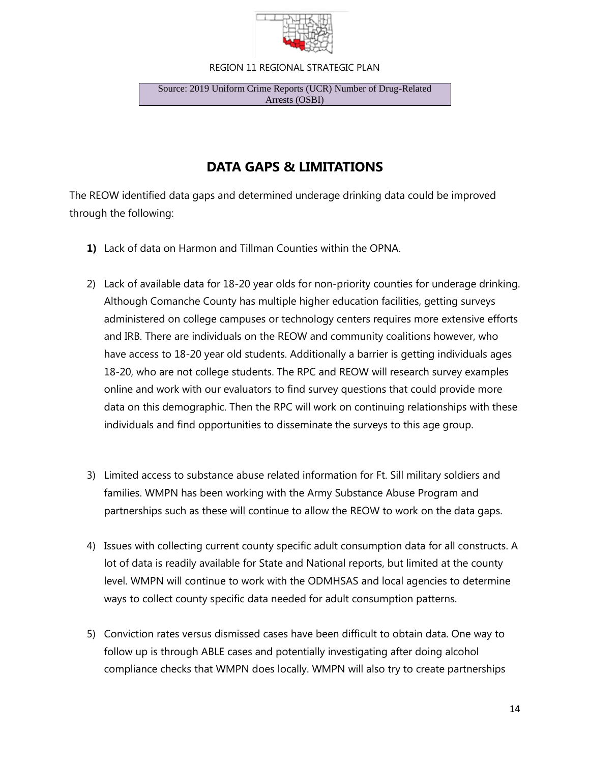

#### Source: 2019 Uniform Crime Reports (UCR) Number of Drug-Related Arrests (OSBI)

## **DATA GAPS & LIMITATIONS**

The REOW identified data gaps and determined underage drinking data could be improved through the following:

- **1)** Lack of data on Harmon and Tillman Counties within the OPNA.
- 2) Lack of available data for 18-20 year olds for non-priority counties for underage drinking. Although Comanche County has multiple higher education facilities, getting surveys administered on college campuses or technology centers requires more extensive efforts and IRB. There are individuals on the REOW and community coalitions however, who have access to 18-20 year old students. Additionally a barrier is getting individuals ages 18-20, who are not college students. The RPC and REOW will research survey examples online and work with our evaluators to find survey questions that could provide more data on this demographic. Then the RPC will work on continuing relationships with these individuals and find opportunities to disseminate the surveys to this age group.
- 3) Limited access to substance abuse related information for Ft. Sill military soldiers and families. WMPN has been working with the Army Substance Abuse Program and partnerships such as these will continue to allow the REOW to work on the data gaps.
- 4) Issues with collecting current county specific adult consumption data for all constructs. A lot of data is readily available for State and National reports, but limited at the county level. WMPN will continue to work with the ODMHSAS and local agencies to determine ways to collect county specific data needed for adult consumption patterns.
- 5) Conviction rates versus dismissed cases have been difficult to obtain data. One way to follow up is through ABLE cases and potentially investigating after doing alcohol compliance checks that WMPN does locally. WMPN will also try to create partnerships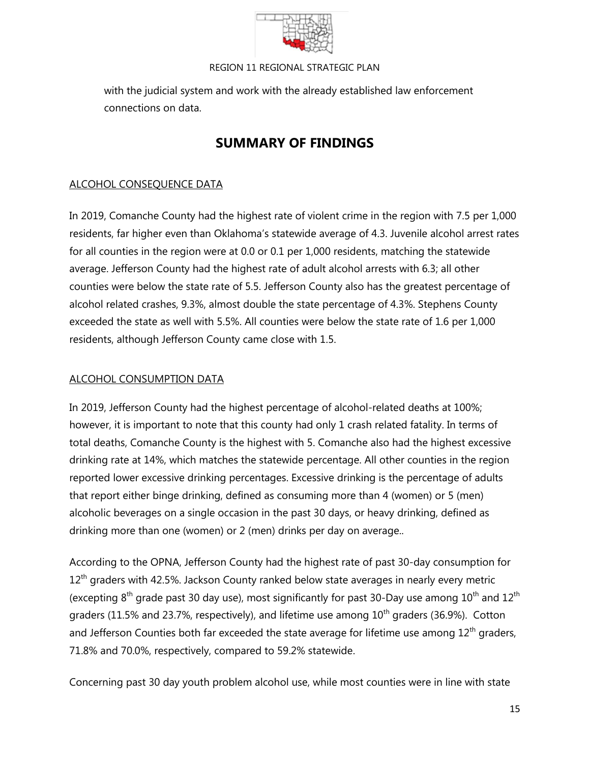

with the judicial system and work with the already established law enforcement connections on data.

# **SUMMARY OF FINDINGS**

## ALCOHOL CONSEQUENCE DATA

In 2019, Comanche County had the highest rate of violent crime in the region with 7.5 per 1,000 residents, far higher even than Oklahoma's statewide average of 4.3. Juvenile alcohol arrest rates for all counties in the region were at 0.0 or 0.1 per 1,000 residents, matching the statewide average. Jefferson County had the highest rate of adult alcohol arrests with 6.3; all other counties were below the state rate of 5.5. Jefferson County also has the greatest percentage of alcohol related crashes, 9.3%, almost double the state percentage of 4.3%. Stephens County exceeded the state as well with 5.5%. All counties were below the state rate of 1.6 per 1,000 residents, although Jefferson County came close with 1.5.

## ALCOHOL CONSUMPTION DATA

In 2019, Jefferson County had the highest percentage of alcohol-related deaths at 100%; however, it is important to note that this county had only 1 crash related fatality. In terms of total deaths, Comanche County is the highest with 5. Comanche also had the highest excessive drinking rate at 14%, which matches the statewide percentage. All other counties in the region reported lower excessive drinking percentages. Excessive drinking is the percentage of adults that report either binge drinking, defined as consuming more than 4 (women) or 5 (men) alcoholic beverages on a single occasion in the past 30 days, or heavy drinking, defined as drinking more than one (women) or 2 (men) drinks per day on average..

According to the OPNA, Jefferson County had the highest rate of past 30-day consumption for  $12<sup>th</sup>$  graders with 42.5%. Jackson County ranked below state averages in nearly every metric (excepting  $8<sup>th</sup>$  grade past 30 day use), most significantly for past 30-Day use among  $10<sup>th</sup>$  and  $12<sup>th</sup>$ graders (11.5% and 23.7%, respectively), and lifetime use among  $10<sup>th</sup>$  graders (36.9%). Cotton and Jefferson Counties both far exceeded the state average for lifetime use among  $12<sup>th</sup>$  graders, 71.8% and 70.0%, respectively, compared to 59.2% statewide.

Concerning past 30 day youth problem alcohol use, while most counties were in line with state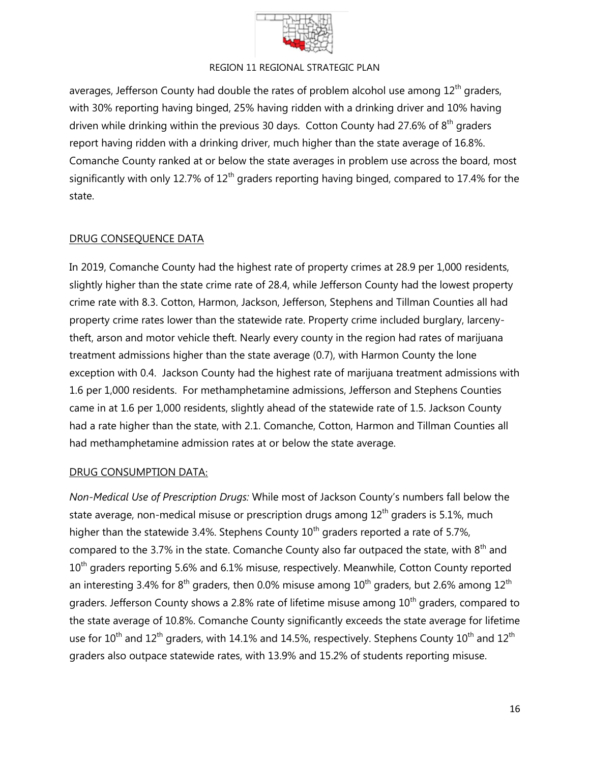

averages, Jefferson County had double the rates of problem alcohol use among  $12<sup>th</sup>$  graders, with 30% reporting having binged, 25% having ridden with a drinking driver and 10% having driven while drinking within the previous 30 days. Cotton County had 27.6% of  $8<sup>th</sup>$  graders report having ridden with a drinking driver, much higher than the state average of 16.8%. Comanche County ranked at or below the state averages in problem use across the board, most significantly with only 12.7% of  $12<sup>th</sup>$  graders reporting having binged, compared to 17.4% for the state.

## DRUG CONSEQUENCE DATA

In 2019, Comanche County had the highest rate of property crimes at 28.9 per 1,000 residents, slightly higher than the state crime rate of 28.4, while Jefferson County had the lowest property crime rate with 8.3. Cotton, Harmon, Jackson, Jefferson, Stephens and Tillman Counties all had property crime rates lower than the statewide rate. Property crime included burglary, larcenytheft, arson and motor vehicle theft. Nearly every county in the region had rates of marijuana treatment admissions higher than the state average (0.7), with Harmon County the lone exception with 0.4. Jackson County had the highest rate of marijuana treatment admissions with 1.6 per 1,000 residents. For methamphetamine admissions, Jefferson and Stephens Counties came in at 1.6 per 1,000 residents, slightly ahead of the statewide rate of 1.5. Jackson County had a rate higher than the state, with 2.1. Comanche, Cotton, Harmon and Tillman Counties all had methamphetamine admission rates at or below the state average.

## DRUG CONSUMPTION DATA:

*Non-Medical Use of Prescription Drugs:* While most of Jackson County's numbers fall below the state average, non-medical misuse or prescription drugs among  $12<sup>th</sup>$  graders is 5.1%, much higher than the statewide 3.4%. Stephens County  $10<sup>th</sup>$  graders reported a rate of 5.7%, compared to the 3.7% in the state. Comanche County also far outpaced the state, with  $8<sup>th</sup>$  and  $10<sup>th</sup>$  graders reporting 5.6% and 6.1% misuse, respectively. Meanwhile, Cotton County reported an interesting 3.4% for  $8<sup>th</sup>$  graders, then 0.0% misuse among  $10<sup>th</sup>$  graders, but 2.6% among  $12<sup>th</sup>$ graders. Jefferson County shows a 2.8% rate of lifetime misuse among 10<sup>th</sup> graders, compared to the state average of 10.8%. Comanche County significantly exceeds the state average for lifetime use for  $10^{th}$  and  $12^{th}$  graders, with 14.1% and 14.5%, respectively. Stephens County  $10^{th}$  and  $12^{th}$ graders also outpace statewide rates, with 13.9% and 15.2% of students reporting misuse.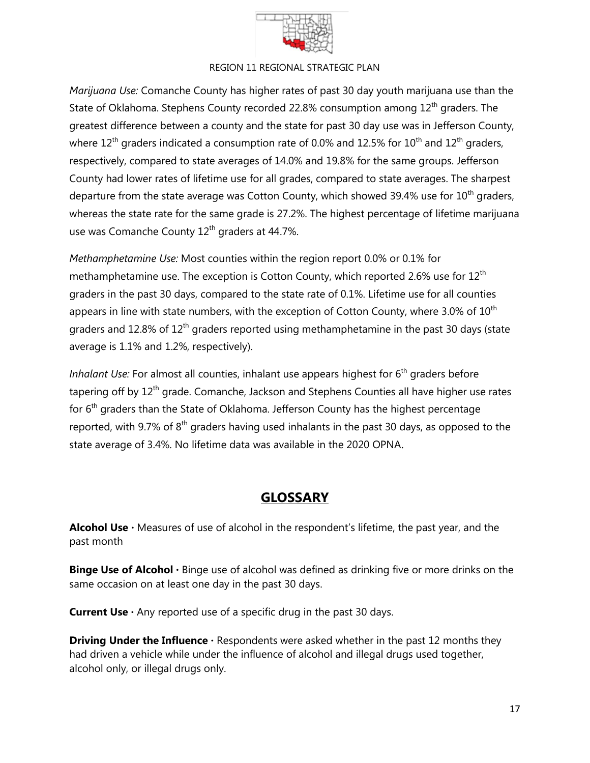

*Marijuana Use:* Comanche County has higher rates of past 30 day youth marijuana use than the State of Oklahoma. Stephens County recorded 22.8% consumption among 12<sup>th</sup> graders. The greatest difference between a county and the state for past 30 day use was in Jefferson County, where  $12^{th}$  graders indicated a consumption rate of 0.0% and 12.5% for  $10^{th}$  and  $12^{th}$  graders, respectively, compared to state averages of 14.0% and 19.8% for the same groups. Jefferson County had lower rates of lifetime use for all grades, compared to state averages. The sharpest departure from the state average was Cotton County, which showed 39.4% use for  $10<sup>th</sup>$  graders, whereas the state rate for the same grade is 27.2%. The highest percentage of lifetime marijuana use was Comanche County 12<sup>th</sup> graders at 44.7%.

*Methamphetamine Use:* Most counties within the region report 0.0% or 0.1% for methamphetamine use. The exception is Cotton County, which reported 2.6% use for  $12<sup>th</sup>$ graders in the past 30 days, compared to the state rate of 0.1%. Lifetime use for all counties appears in line with state numbers, with the exception of Cotton County, where 3.0% of  $10^{th}$ graders and 12.8% of  $12<sup>th</sup>$  graders reported using methamphetamine in the past 30 days (state average is 1.1% and 1.2%, respectively).

*Inhalant Use:* For almost all counties, inhalant use appears highest for 6<sup>th</sup> graders before tapering off by 12<sup>th</sup> grade. Comanche, Jackson and Stephens Counties all have higher use rates for 6<sup>th</sup> graders than the State of Oklahoma. Jefferson County has the highest percentage reported, with 9.7% of  $8<sup>th</sup>$  graders having used inhalants in the past 30 days, as opposed to the state average of 3.4%. No lifetime data was available in the 2020 OPNA.

# **GLOSSARY**

Alcohol Use · Measures of use of alcohol in the respondent's lifetime, the past year, and the past month

**Binge Use of Alcohol** · Binge use of alcohol was defined as drinking five or more drinks on the same occasion on at least one day in the past 30 days.

**Current Use**  $\cdot$  Any reported use of a specific drug in the past 30 days.

**Driving Under the Influence** · Respondents were asked whether in the past 12 months they had driven a vehicle while under the influence of alcohol and illegal drugs used together, alcohol only, or illegal drugs only.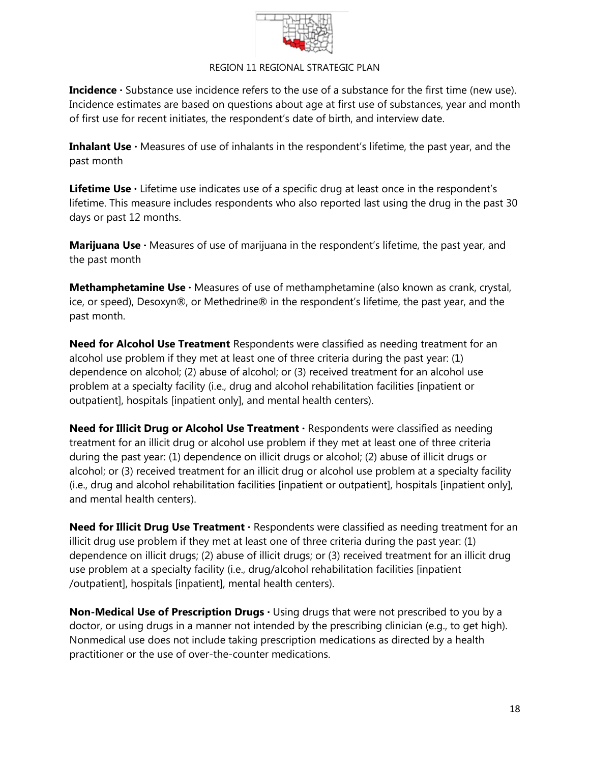

**Incidence ·** Substance use incidence refers to the use of a substance for the first time (new use). Incidence estimates are based on questions about age at first use of substances, year and month of first use for recent initiates, the respondent's date of birth, and interview date.

**Inhalant Use ·** Measures of use of inhalants in the respondent's lifetime, the past year, and the past month

Lifetime Use  $\cdot$  Lifetime use indicates use of a specific drug at least once in the respondent's lifetime. This measure includes respondents who also reported last using the drug in the past 30 days or past 12 months.

**Marijuana Use** · Measures of use of marijuana in the respondent's lifetime, the past year, and the past month

**Methamphetamine Use** · Measures of use of methamphetamine (also known as crank, crystal, ice, or speed), Desoxyn®, or Methedrine® in the respondent's lifetime, the past year, and the past month.

**Need for Alcohol Use Treatment** Respondents were classified as needing treatment for an alcohol use problem if they met at least one of three criteria during the past year: (1) dependence on alcohol; (2) abuse of alcohol; or (3) received treatment for an alcohol use problem at a specialty facility (i.e., drug and alcohol rehabilitation facilities [inpatient or outpatient], hospitals [inpatient only], and mental health centers).

**Need for Illicit Drug or Alcohol Use Treatment · Respondents were classified as needing** treatment for an illicit drug or alcohol use problem if they met at least one of three criteria during the past year: (1) dependence on illicit drugs or alcohol; (2) abuse of illicit drugs or alcohol; or (3) received treatment for an illicit drug or alcohol use problem at a specialty facility (i.e., drug and alcohol rehabilitation facilities [inpatient or outpatient], hospitals [inpatient only], and mental health centers).

**Need for Illicit Drug Use Treatment** · Respondents were classified as needing treatment for an illicit drug use problem if they met at least one of three criteria during the past year: (1) dependence on illicit drugs; (2) abuse of illicit drugs; or (3) received treatment for an illicit drug use problem at a specialty facility (i.e., drug/alcohol rehabilitation facilities [inpatient /outpatient], hospitals [inpatient], mental health centers).

**Non-Medical Use of Prescription Drugs**  $\cdot$  **Using drugs that were not prescribed to you by a** doctor, or using drugs in a manner not intended by the prescribing clinician (e.g., to get high). Nonmedical use does not include taking prescription medications as directed by a health practitioner or the use of over-the-counter medications.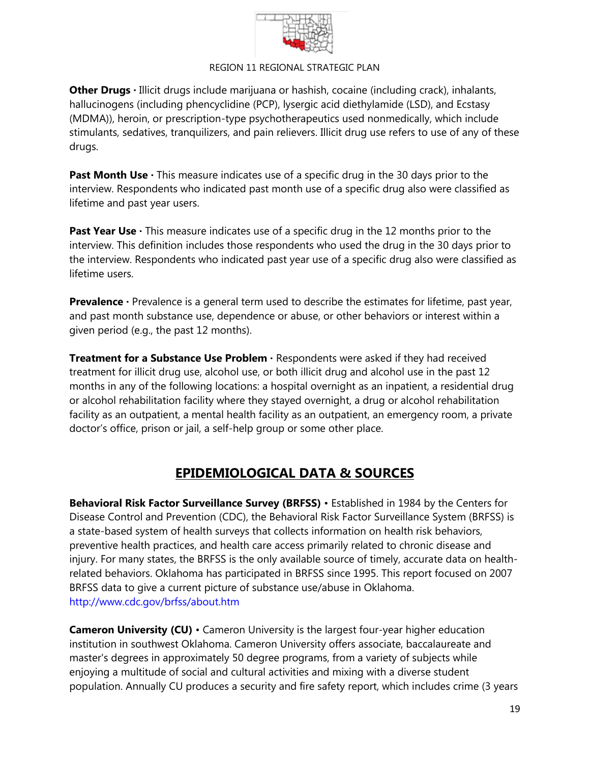

**Other Drugs** · Illicit drugs include marijuana or hashish, cocaine (including crack), inhalants, hallucinogens (including phencyclidine (PCP), lysergic acid diethylamide (LSD), and Ecstasy (MDMA)), heroin, or prescription-type psychotherapeutics used nonmedically, which include stimulants, sedatives, tranquilizers, and pain relievers. Illicit drug use refers to use of any of these drugs.

**Past Month Use** · This measure indicates use of a specific drug in the 30 days prior to the interview. Respondents who indicated past month use of a specific drug also were classified as lifetime and past year users.

**Past Year Use** · This measure indicates use of a specific drug in the 12 months prior to the interview. This definition includes those respondents who used the drug in the 30 days prior to the interview. Respondents who indicated past year use of a specific drug also were classified as lifetime users.

**Prevalence** · Prevalence is a general term used to describe the estimates for lifetime, past year, and past month substance use, dependence or abuse, or other behaviors or interest within a given period (e.g., the past 12 months).

**Treatment for a Substance Use Problem ·** Respondents were asked if they had received treatment for illicit drug use, alcohol use, or both illicit drug and alcohol use in the past 12 months in any of the following locations: a hospital overnight as an inpatient, a residential drug or alcohol rehabilitation facility where they stayed overnight, a drug or alcohol rehabilitation facility as an outpatient, a mental health facility as an outpatient, an emergency room, a private doctor's office, prison or jail, a self-help group or some other place.

# **EPIDEMIOLOGICAL DATA & SOURCES**

**Behavioral Risk Factor Surveillance Survey (BRFSS)** • Established in 1984 by the Centers for Disease Control and Prevention (CDC), the Behavioral Risk Factor Surveillance System (BRFSS) is a state-based system of health surveys that collects information on health risk behaviors, preventive health practices, and health care access primarily related to chronic disease and injury. For many states, the BRFSS is the only available source of timely, accurate data on healthrelated behaviors. Oklahoma has participated in BRFSS since 1995. This report focused on 2007 BRFSS data to give a current picture of substance use/abuse in Oklahoma. <http://www.cdc.gov/brfss/about.htm>

**Cameron University (CU)** • Cameron University is the largest four-year higher education institution in southwest Oklahoma. Cameron University offers associate, baccalaureate and master's degrees in approximately 50 degree programs, from a variety of subjects while enjoying a multitude of social and cultural activities and mixing with a diverse student population. Annually CU produces a security and fire safety report, which includes crime (3 years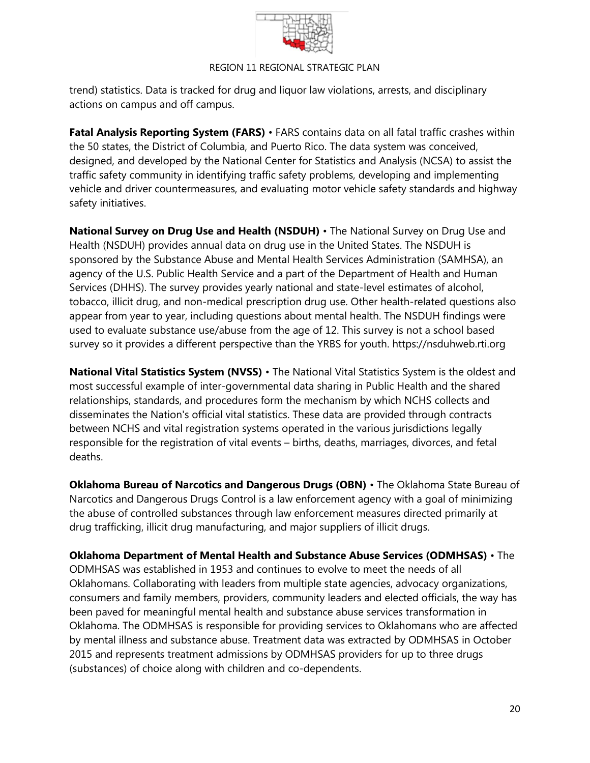

trend) statistics. Data is tracked for drug and liquor law violations, arrests, and disciplinary actions on campus and off campus.

**Fatal Analysis Reporting System (FARS)** • FARS contains data on all fatal traffic crashes within the 50 states, the District of Columbia, and Puerto Rico. The data system was conceived, designed, and developed by the National Center for Statistics and Analysis (NCSA) to assist the traffic safety community in identifying traffic safety problems, developing and implementing vehicle and driver countermeasures, and evaluating motor vehicle safety standards and highway safety initiatives.

**National Survey on Drug Use and Health (NSDUH)** • The National Survey on Drug Use and Health (NSDUH) provides annual data on drug use in the United States. The NSDUH is sponsored by the Substance Abuse and Mental Health Services Administration (SAMHSA), an agency of the U.S. Public Health Service and a part of the Department of Health and Human Services (DHHS). The survey provides yearly national and state-level estimates of alcohol, tobacco, illicit drug, and non-medical prescription drug use. Other health-related questions also appear from year to year, including questions about mental health. The NSDUH findings were used to evaluate substance use/abuse from the age of 12. This survey is not a school based survey so it provides a different perspective than the YRBS for youth. [https://nsduhweb.rti.org](https://nsduhweb.rti.org/)

**National Vital Statistics System (NVSS)** • The National Vital Statistics System is the oldest and most successful example of inter-governmental data sharing in Public Health and the shared relationships, standards, and procedures form the mechanism by which NCHS collects and disseminates the Nation's official vital statistics. These data are provided through contracts between NCHS and vital registration systems operated in the various jurisdictions legally responsible for the registration of vital events – births, deaths, marriages, divorces, and fetal deaths.

**Oklahoma Bureau of Narcotics and Dangerous Drugs (OBN)** • The Oklahoma State Bureau of Narcotics and Dangerous Drugs Control is a law enforcement agency with a goal of minimizing the abuse of controlled substances through law enforcement measures directed primarily at drug trafficking, illicit drug manufacturing, and major suppliers of illicit drugs.

**Oklahoma Department of Mental Health and Substance Abuse Services (ODMHSAS)** • The ODMHSAS was established in 1953 and continues to evolve to meet the needs of all Oklahomans. Collaborating with leaders from multiple state agencies, advocacy organizations, consumers and family members, providers, community leaders and elected officials, the way has been paved for meaningful mental health and substance abuse services transformation in Oklahoma. The ODMHSAS is responsible for providing services to Oklahomans who are affected by mental illness and substance abuse. Treatment data was extracted by ODMHSAS in October 2015 and represents treatment admissions by ODMHSAS providers for up to three drugs (substances) of choice along with children and co-dependents.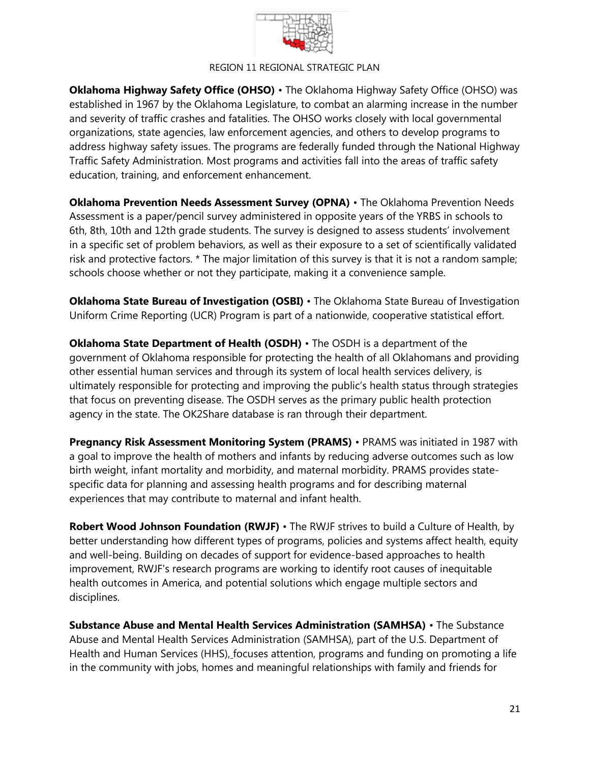

**Oklahoma Highway Safety Office (OHSO)** • The Oklahoma Highway Safety Office (OHSO) was established in 1967 by the Oklahoma Legislature, to combat an alarming increase in the number and severity of traffic crashes and fatalities. The OHSO works closely with local governmental organizations, state agencies, law enforcement agencies, and others to develop programs to address highway safety issues. The programs are federally funded through the National Highway Traffic Safety Administration. Most programs and activities fall into the areas of traffic safety education, training, and enforcement enhancement.

**Oklahoma Prevention Needs Assessment Survey (OPNA)** • The Oklahoma Prevention Needs Assessment is a paper/pencil survey administered in opposite years of the YRBS in schools to 6th, 8th, 10th and 12th grade students. The survey is designed to assess students' involvement in a specific set of problem behaviors, as well as their exposure to a set of scientifically validated risk and protective factors. \* The major limitation of this survey is that it is not a random sample; schools choose whether or not they participate, making it a convenience sample.

**Oklahoma State Bureau of Investigation (OSBI)** • The Oklahoma State Bureau of Investigation Uniform Crime Reporting (UCR) Program is part of a nationwide, cooperative statistical effort.

**Oklahoma State Department of Health (OSDH)** • The OSDH is a department of the government of Oklahoma responsible for protecting the health of all Oklahomans and providing other essential human services and through its system of local health services delivery, is ultimately responsible for protecting and improving the public's health status through strategies that focus on preventing disease. The OSDH serves as the primary public health protection agency in the state. The OK2Share database is ran through their department.

**Pregnancy Risk Assessment Monitoring System (PRAMS)** • PRAMS was initiated in 1987 with a goal to improve the health of mothers and infants by reducing adverse outcomes such as low birth weight, infant mortality and morbidity, and maternal morbidity. PRAMS provides statespecific data for planning and assessing health programs and for describing maternal experiences that may contribute to maternal and infant health.

**Robert Wood Johnson Foundation (RWJF)** • The RWJF strives to build a Culture of Health, by better understanding how different types of programs, policies and systems affect health, equity and well-being. Building on decades of support for evidence-based approaches to health improvement, RWJF's research programs are working to identify root causes of inequitable health outcomes in America, and potential solutions which engage multiple sectors and disciplines.

**Substance Abuse and Mental Health Services Administration (SAMHSA)** • The Substance Abuse and Mental Health Services Administration (SAMHSA), part of the U.S. Department of Health and Human Services (HHS), focuses attention, programs and funding on promoting a life in the community with jobs, homes and meaningful relationships with family and friends for